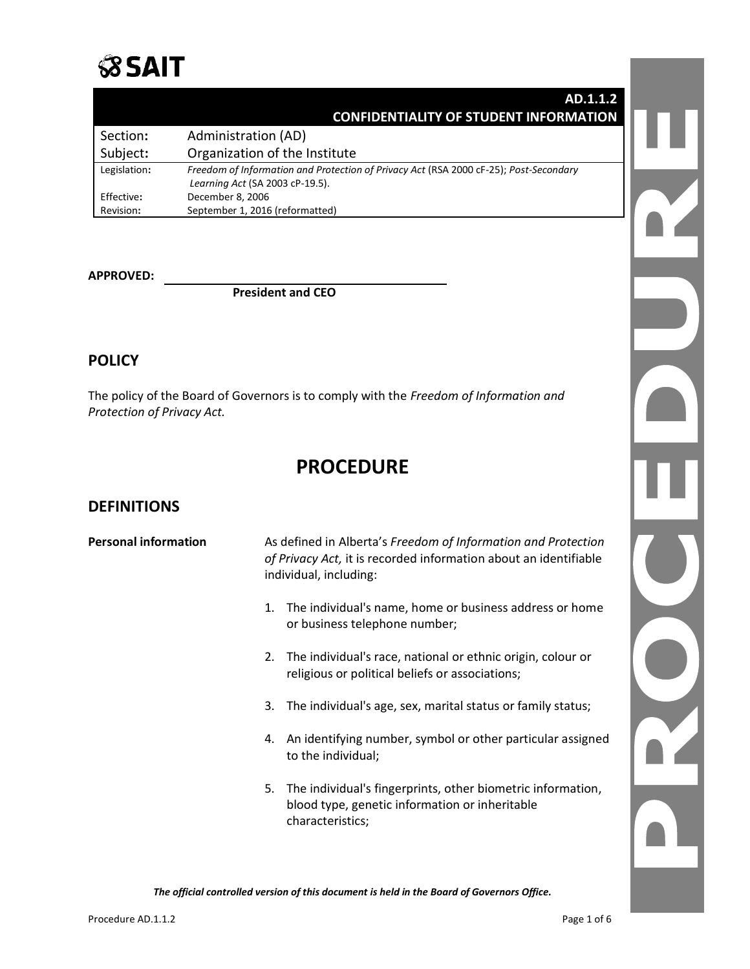

#### **AD.1.1.2 CONFIDENTIALITY OF STUDENT INFORMATION**

| Section:     | Administration (AD)                                                                                                      |
|--------------|--------------------------------------------------------------------------------------------------------------------------|
| Subject:     | Organization of the Institute                                                                                            |
| Legislation: | Freedom of Information and Protection of Privacy Act (RSA 2000 cF-25); Post-Secondary<br>Learning Act (SA 2003 cP-19.5). |
| Effective:   | December 8, 2006                                                                                                         |
| Revision:    | September 1, 2016 (reformatted)                                                                                          |

#### **APPROVED:**

**President and CEO**

# **POLICY**

The policy of the Board of Governors is to comply with the *Freedom of Information and Protection of Privacy Act.*

# **PROCEDURE**

#### **DEFINITIONS**

| <b>Personal information</b> | As defined in Alberta's Freedom of Information and Protection<br>of Privacy Act, it is recorded information about an identifiable<br>individual, including: |  |
|-----------------------------|-------------------------------------------------------------------------------------------------------------------------------------------------------------|--|
|                             | The individual's name, home or business address or home<br>1.<br>or business telephone number;                                                              |  |
|                             | The individual's race, national or ethnic origin, colour or<br>2.<br>religious or political beliefs or associations;                                        |  |
|                             | The individual's age, sex, marital status or family status;<br>3.                                                                                           |  |
|                             | An identifying number, symbol or other particular assigned<br>4.<br>to the individual;                                                                      |  |
|                             | The individual's fingerprints, other biometric information,<br>5.<br>blood type, genetic information or inheritable<br>characteristics;                     |  |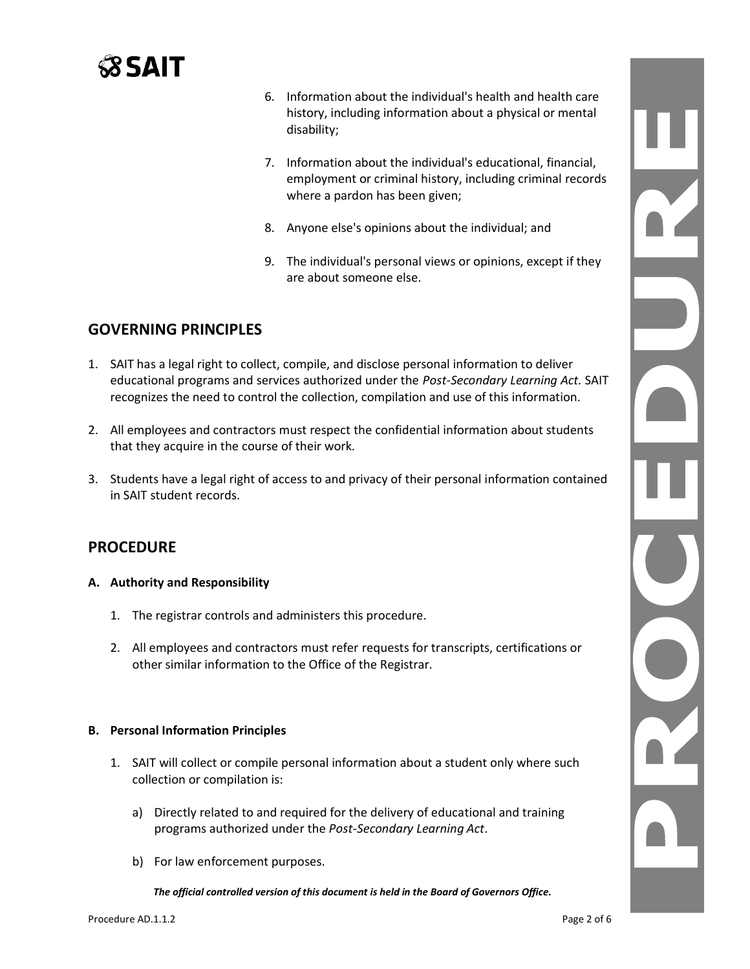

- 6. Information about the individual's health and health care history, including information about a physical or mental disability;
- 7. Information about the individual's educational, financial, employment or criminal history, including criminal records where a pardon has been given;
- 8. Anyone else's opinions about the individual; and
- 9. The individual's personal views or opinions, except if they are about someone else.

# **GOVERNING PRINCIPLES**

- 1. SAIT has a legal right to collect, compile, and disclose personal information to deliver educational programs and services authorized under the *Post-Secondary Learning Act.* SAIT recognizes the need to control the collection, compilation and use of this information.
- 2. All employees and contractors must respect the confidential information about students that they acquire in the course of their work.
- 3. Students have a legal right of access to and privacy of their personal information contained in SAIT student records.

# **PROCEDURE**

- **A. Authority and Responsibility**
	- 1. The registrar controls and administers this procedure.
	- 2. All employees and contractors must refer requests for transcripts, certifications or other similar information to the Office of the Registrar.

#### **B. Personal Information Principles**

- 1. SAIT will collect or compile personal information about a student only where such collection or compilation is:
	- a) Directly related to and required for the delivery of educational and training programs authorized under the *Post-Secondary Learning Act*.
	- b) For law enforcement purposes.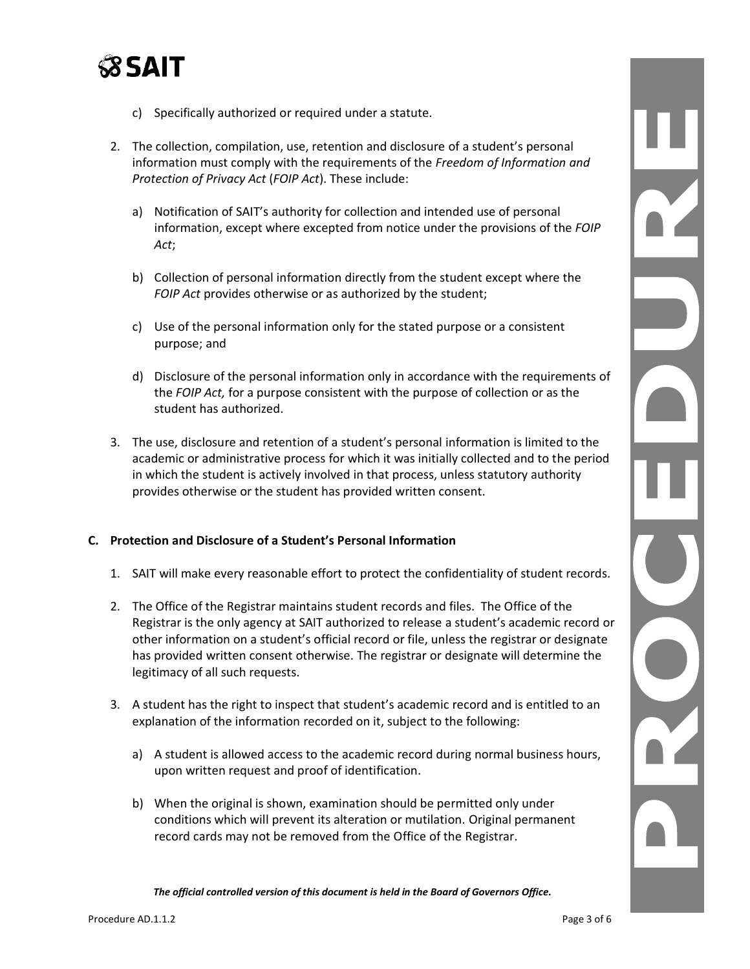

- c) Specifically authorized or required under a statute.
- 2. The collection, compilation, use, retention and disclosure of a student's personal information must comply with the requirements of the *Freedom of Information and Protection of Privacy Act* (*FOIP Act*). These include:
	- a) Notification of SAIT's authority for collection and intended use of personal information, except where excepted from notice under the provisions of the *FOIP Act*;
	- b) Collection of personal information directly from the student except where the *FOIP Act* provides otherwise or as authorized by the student;
	- c) Use of the personal information only for the stated purpose or a consistent purpose; and
	- d) Disclosure of the personal information only in accordance with the requirements of the *FOIP Act,* for a purpose consistent with the purpose of collection or as the student has authorized.
- 3. The use, disclosure and retention of a student's personal information is limited to the academic or administrative process for which it was initially collected and to the period in which the student is actively involved in that process, unless statutory authority provides otherwise or the student has provided written consent.

#### **C. Protection and Disclosure of a Student's Personal Information**

- 1. SAIT will make every reasonable effort to protect the confidentiality of student records.
- 2. The Office of the Registrar maintains student records and files. The Office of the Registrar is the only agency at SAIT authorized to release a student's academic record or other information on a student's official record or file, unless the registrar or designate has provided written consent otherwise. The registrar or designate will determine the legitimacy of all such requests.
- 3. A student has the right to inspect that student's academic record and is entitled to an explanation of the information recorded on it, subject to the following:
	- a) A student is allowed access to the academic record during normal business hours, upon written request and proof of identification.
	- b) When the original is shown, examination should be permitted only under conditions which will prevent its alteration or mutilation. Original permanent record cards may not be removed from the Office of the Registrar.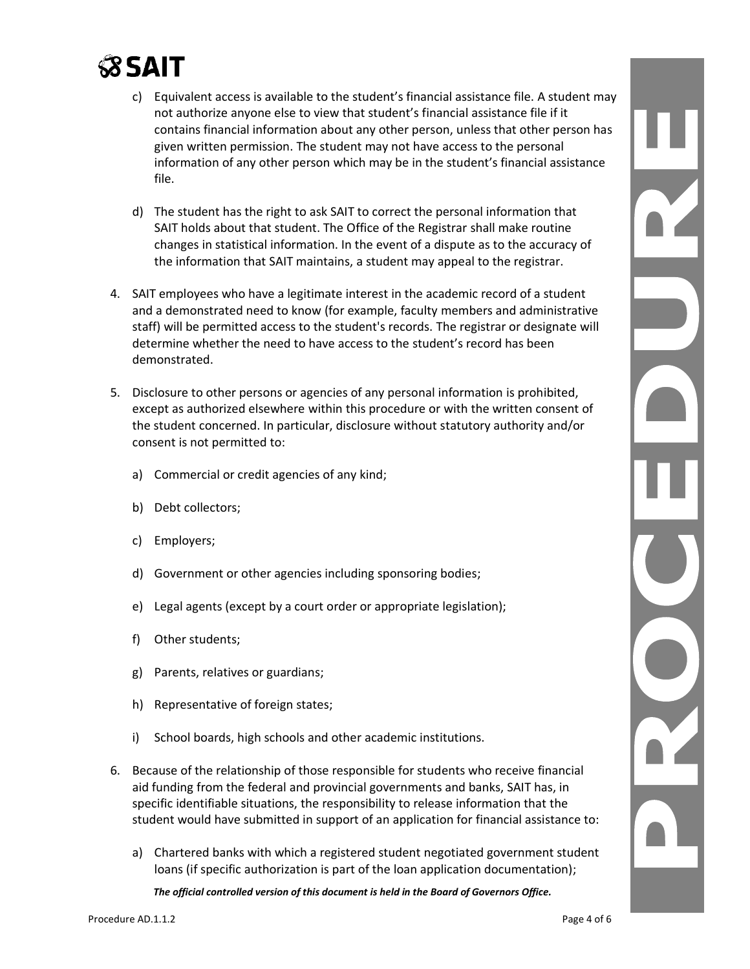# $\Im$ sait

- c) Equivalent access is available to the student's financial assistance file. A student may not authorize anyone else to view that student's financial assistance file if it contains financial information about any other person, unless that other person has given written permission. The student may not have access to the personal information of any other person which may be in the student's financial assistance file.
- d) The student has the right to ask SAIT to correct the personal information that SAIT holds about that student. The Office of the Registrar shall make routine changes in statistical information. In the event of a dispute as to the accuracy of the information that SAIT maintains, a student may appeal to the registrar.
- 4. SAIT employees who have a legitimate interest in the academic record of a student and a demonstrated need to know (for example, faculty members and administrative staff) will be permitted access to the student's records. The registrar or designate will determine whether the need to have access to the student's record has been demonstrated.
- 5. Disclosure to other persons or agencies of any personal information is prohibited, except as authorized elsewhere within this procedure or with the written consent of the student concerned. In particular, disclosure without statutory authority and/or consent is not permitted to:
	- a) Commercial or credit agencies of any kind;
	- b) Debt collectors;
	- c) Employers;
	- d) Government or other agencies including sponsoring bodies;
	- e) Legal agents (except by a court order or appropriate legislation);
	- f) Other students;
	- g) Parents, relatives or guardians;
	- h) Representative of foreign states;
	- i) School boards, high schools and other academic institutions.
- 6. Because of the relationship of those responsible for students who receive financial aid funding from the federal and provincial governments and banks, SAIT has, in specific identifiable situations, the responsibility to release information that the student would have submitted in support of an application for financial assistance to:
	- a) Chartered banks with which a registered student negotiated government student loans (if specific authorization is part of the loan application documentation);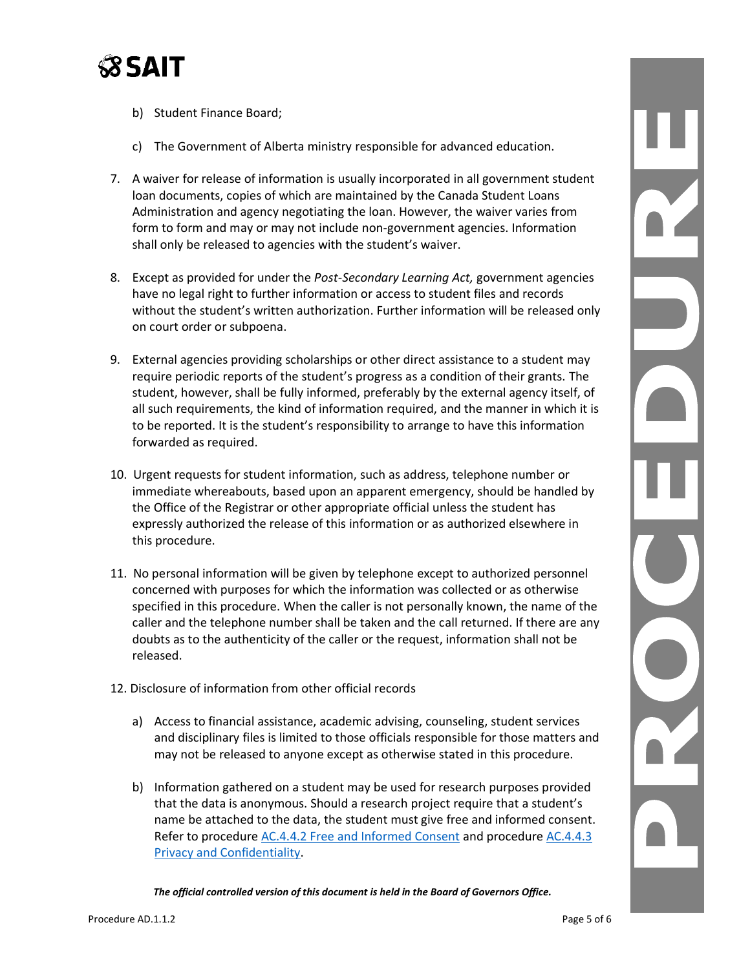

- b) Student Finance Board;
- c) The Government of Alberta ministry responsible for advanced education.
- 7. A waiver for release of information is usually incorporated in all government student loan documents, copies of which are maintained by the Canada Student Loans Administration and agency negotiating the loan. However, the waiver varies from form to form and may or may not include non-government agencies. Information shall only be released to agencies with the student's waiver.
- 8. Except as provided for under the *Post-Secondary Learning Act,* government agencies have no legal right to further information or access to student files and records without the student's written authorization. Further information will be released only on court order or subpoena.
- 9. External agencies providing scholarships or other direct assistance to a student may require periodic reports of the student's progress as a condition of their grants. The student, however, shall be fully informed, preferably by the external agency itself, of all such requirements, the kind of information required, and the manner in which it is to be reported. It is the student's responsibility to arrange to have this information forwarded as required.
- 10. Urgent requests for student information, such as address, telephone number or immediate whereabouts, based upon an apparent emergency, should be handled by the Office of the Registrar or other appropriate official unless the student has expressly authorized the release of this information or as authorized elsewhere in this procedure.
- 11. No personal information will be given by telephone except to authorized personnel concerned with purposes for which the information was collected or as otherwise specified in this procedure. When the caller is not personally known, the name of the caller and the telephone number shall be taken and the call returned. If there are any doubts as to the authenticity of the caller or the request, information shall not be released.
- 12. Disclosure of information from other official records
	- a) Access to financial assistance, academic advising, counseling, student services and disciplinary files is limited to those officials responsible for those matters and may not be released to anyone except as otherwise stated in this procedure.
	- b) Information gathered on a student may be used for research purposes provided that the data is anonymous. Should a research project require that a student's name be attached to the data, the student must give free and informed consent. Refer to procedure [AC.4.4.2 Free and Informed Consent](https://www.sait.ca/assets/documents/about-sait/policies-and-procedures/academic-student/ac-4-4-2-free-and-informed-consent.pdf) and procedure [AC.4.4.3](https://www.sait.ca/assets/documents/about-sait/policies-and-procedures/academic-student/ac-4-4-3-privacy-and-confidentiality.pdf)  [Privacy and Confidentiality.](https://www.sait.ca/assets/documents/about-sait/policies-and-procedures/academic-student/ac-4-4-3-privacy-and-confidentiality.pdf)